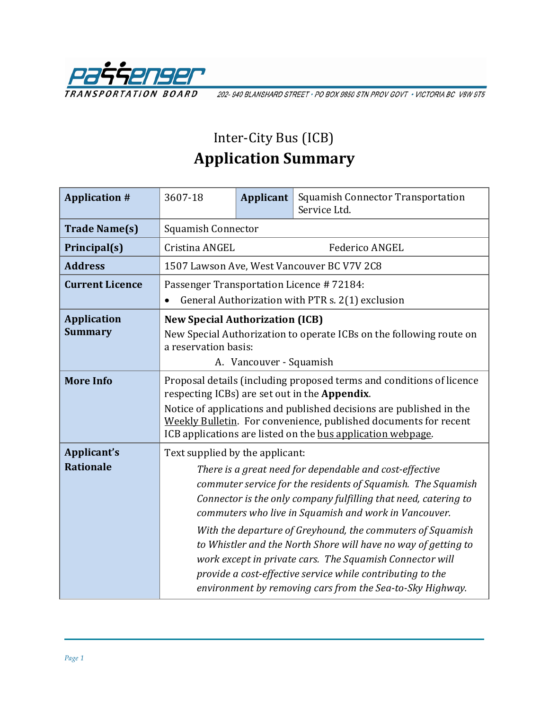

202-940 BLANSHARD STREET · PO BOX 9850 STN PROV GOVT · VICTORIA BC V8W 9T5

## Inter-City Bus (ICB) **Application Summary**

| <b>Application #</b>   | 3607-18                                                                                                                                                                                                                                                                                                                                                                             | <b>Applicant</b> | Squamish Connector Transportation<br>Service Ltd.                                                                                                                                   |  |  |
|------------------------|-------------------------------------------------------------------------------------------------------------------------------------------------------------------------------------------------------------------------------------------------------------------------------------------------------------------------------------------------------------------------------------|------------------|-------------------------------------------------------------------------------------------------------------------------------------------------------------------------------------|--|--|
| <b>Trade Name(s)</b>   | Squamish Connector                                                                                                                                                                                                                                                                                                                                                                  |                  |                                                                                                                                                                                     |  |  |
| Principal(s)           | Cristina ANGEL<br><b>Federico ANGEL</b>                                                                                                                                                                                                                                                                                                                                             |                  |                                                                                                                                                                                     |  |  |
| <b>Address</b>         | 1507 Lawson Ave, West Vancouver BC V7V 2C8                                                                                                                                                                                                                                                                                                                                          |                  |                                                                                                                                                                                     |  |  |
| <b>Current Licence</b> | Passenger Transportation Licence #72184:                                                                                                                                                                                                                                                                                                                                            |                  |                                                                                                                                                                                     |  |  |
|                        | General Authorization with PTR s. 2(1) exclusion<br>$\bullet$                                                                                                                                                                                                                                                                                                                       |                  |                                                                                                                                                                                     |  |  |
| <b>Application</b>     | <b>New Special Authorization (ICB)</b>                                                                                                                                                                                                                                                                                                                                              |                  |                                                                                                                                                                                     |  |  |
| <b>Summary</b>         | New Special Authorization to operate ICBs on the following route on<br>a reservation basis:                                                                                                                                                                                                                                                                                         |                  |                                                                                                                                                                                     |  |  |
|                        | A. Vancouver - Squamish                                                                                                                                                                                                                                                                                                                                                             |                  |                                                                                                                                                                                     |  |  |
| <b>More Info</b>       | Proposal details (including proposed terms and conditions of licence<br>respecting ICBs) are set out in the Appendix.                                                                                                                                                                                                                                                               |                  |                                                                                                                                                                                     |  |  |
|                        | Notice of applications and published decisions are published in the<br>Weekly Bulletin. For convenience, published documents for recent<br>ICB applications are listed on the bus application webpage.                                                                                                                                                                              |                  |                                                                                                                                                                                     |  |  |
| Applicant's            | Text supplied by the applicant:                                                                                                                                                                                                                                                                                                                                                     |                  |                                                                                                                                                                                     |  |  |
| <b>Rationale</b>       | There is a great need for dependable and cost-effective<br>commuter service for the residents of Squamish. The Squamish<br>Connector is the only company fulfilling that need, catering to<br>commuters who live in Squamish and work in Vancouver.<br>With the departure of Greyhound, the commuters of Squamish<br>to Whistler and the North Shore will have no way of getting to |                  |                                                                                                                                                                                     |  |  |
|                        |                                                                                                                                                                                                                                                                                                                                                                                     |                  | work except in private cars. The Squamish Connector will<br>provide a cost-effective service while contributing to the<br>environment by removing cars from the Sea-to-Sky Highway. |  |  |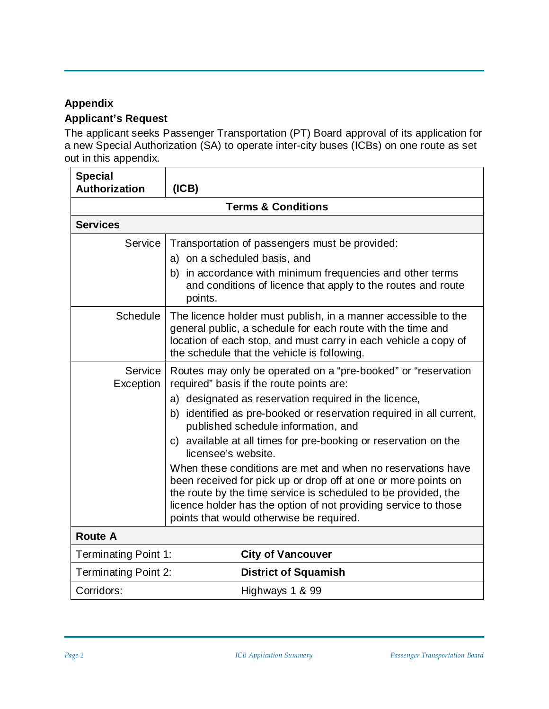## **Appendix**

## **Applicant's Request**

The applicant seeks Passenger Transportation (PT) Board approval of its application for a new Special Authorization (SA) to operate inter-city buses (ICBs) on one route as set out in this appendix.

| <b>Special</b><br><b>Authorization</b> | (ICB)                                                                                                                                                                                                                                                                                                          |  |  |  |
|----------------------------------------|----------------------------------------------------------------------------------------------------------------------------------------------------------------------------------------------------------------------------------------------------------------------------------------------------------------|--|--|--|
| <b>Terms &amp; Conditions</b>          |                                                                                                                                                                                                                                                                                                                |  |  |  |
| <b>Services</b>                        |                                                                                                                                                                                                                                                                                                                |  |  |  |
| Service                                | Transportation of passengers must be provided:                                                                                                                                                                                                                                                                 |  |  |  |
|                                        | a) on a scheduled basis, and                                                                                                                                                                                                                                                                                   |  |  |  |
|                                        | b) in accordance with minimum frequencies and other terms<br>and conditions of licence that apply to the routes and route<br>points.                                                                                                                                                                           |  |  |  |
| <b>Schedule</b>                        | The licence holder must publish, in a manner accessible to the<br>general public, a schedule for each route with the time and<br>location of each stop, and must carry in each vehicle a copy of<br>the schedule that the vehicle is following.                                                                |  |  |  |
| Service<br>Exception                   | Routes may only be operated on a "pre-booked" or "reservation"<br>required" basis if the route points are:                                                                                                                                                                                                     |  |  |  |
|                                        | a) designated as reservation required in the licence,                                                                                                                                                                                                                                                          |  |  |  |
|                                        | b) identified as pre-booked or reservation required in all current,<br>published schedule information, and                                                                                                                                                                                                     |  |  |  |
|                                        | c) available at all times for pre-booking or reservation on the<br>licensee's website.                                                                                                                                                                                                                         |  |  |  |
|                                        | When these conditions are met and when no reservations have<br>been received for pick up or drop off at one or more points on<br>the route by the time service is scheduled to be provided, the<br>licence holder has the option of not providing service to those<br>points that would otherwise be required. |  |  |  |
| <b>Route A</b>                         |                                                                                                                                                                                                                                                                                                                |  |  |  |
| <b>Terminating Point 1:</b>            | <b>City of Vancouver</b>                                                                                                                                                                                                                                                                                       |  |  |  |
| <b>Terminating Point 2:</b>            | <b>District of Squamish</b>                                                                                                                                                                                                                                                                                    |  |  |  |
| Corridors:                             | Highways 1 & 99                                                                                                                                                                                                                                                                                                |  |  |  |